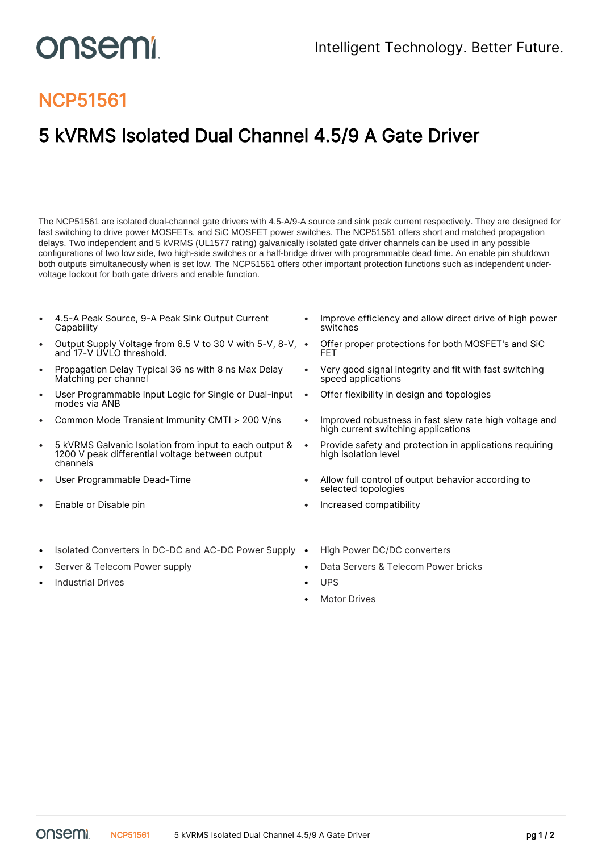## NCP51561

## 5 kVRMS Isolated Dual Channel 4.5/9 A Gate Driver

The NCP51561 are isolated dual-channel gate drivers with 4.5-A/9-A source and sink peak current respectively. They are designed for fast switching to drive power MOSFETs, and SiC MOSFET power switches. The NCP51561 offers short and matched propagation delays. Two independent and 5 kVRMS (UL1577 rating) galvanically isolated gate driver channels can be used in any possible configurations of two low side, two high-side switches or a half-bridge driver with programmable dead time. An enable pin shutdown both outputs simultaneously when is set low. The NCP51561 offers other important protection functions such as independent undervoltage lockout for both gate drivers and enable function.

- 4.5-A Peak Source, 9-A Peak Sink Output Current **Capability**
- Output Supply Voltage from 6.5 V to 30 V with 5-V, 8-V, and 17-V UVLO threshold.
- Propagation Delay Typical 36 ns with 8 ns Max Delay Matching per channel
- User Programmable Input Logic for Single or Dual-input modes via ANB
- 
- 5 kVRMS Galvanic Isolation from input to each output & 1200 V peak differential voltage between output channels
- 
- 
- Isolated Converters in DC-DC and AC-DC Power Supply High Power DC/DC converters
- 
- Industrial Drives  **UPS**
- Improve efficiency and allow direct drive of high power switches
- Offer proper protections for both MOSFET's and SiC FET
- Very good signal integrity and fit with fast switching speed applications
- Offer flexibility in design and topologies
- Common Mode Transient Immunity CMTI > 200 V/ns Improved robustness in fast slew rate high voltage and high current switching applications
	- Provide safety and protection in applications requiring high isolation level
- User Programmable Dead-Time **•** Allow full control of output behavior according to selected topologies
- **Enable or Disable pin Increased compatibility Increased compatibility** 
	-
- Server & Telecom Power supply Data Servers & Telecom Power bricks
	-
	- **Motor Drives**